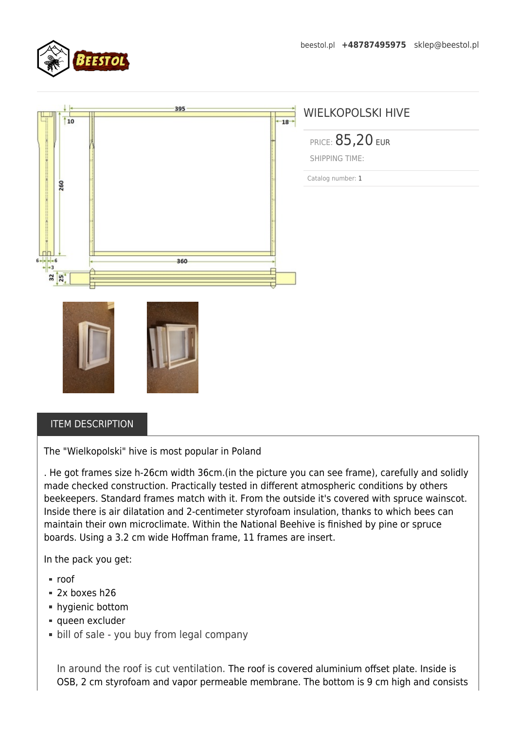

|                       | 395   | WIELKOPOLSKI HIVE       |
|-----------------------|-------|-------------------------|
| 10                    | $+18$ |                         |
|                       |       | <b>PRICE: 85,20 EUR</b> |
|                       |       | <b>SHIPPING TIME:</b>   |
|                       |       | Catalog number: 1       |
| 260                   |       |                         |
|                       |       |                         |
|                       |       |                         |
|                       |       |                         |
|                       |       |                         |
| $6 \rightarrow 6$     | 360   |                         |
| 32<br>$\overline{25}$ |       |                         |
|                       |       |                         |
|                       |       |                         |
|                       |       |                         |
|                       |       |                         |
|                       |       |                         |
|                       |       |                         |

## ITEM DESCRIPTION

The "Wielkopolski" hive is most popular in Poland

. He got frames size h-26cm width 36cm.(in the picture you can see frame), carefully and solidly made checked construction. Practically tested in different atmospheric conditions by others beekeepers. Standard frames match with it. From the outside it's covered with spruce wainscot. Inside there is air dilatation and 2-centimeter styrofoam insulation, thanks to which bees can maintain their own microclimate. Within the National Beehive is finished by pine or spruce boards. Using a 3.2 cm wide Hoffman frame, 11 frames are insert.

In the pack you get:

- roof
- 2x boxes h26
- hygienic bottom
- queen excluder
- **bill of sale you buy from legal company**

In around the roof is cut ventilation. The roof is covered aluminium offset plate. Inside is OSB, 2 cm styrofoam and vapor permeable membrane. The bottom is 9 cm high and consists